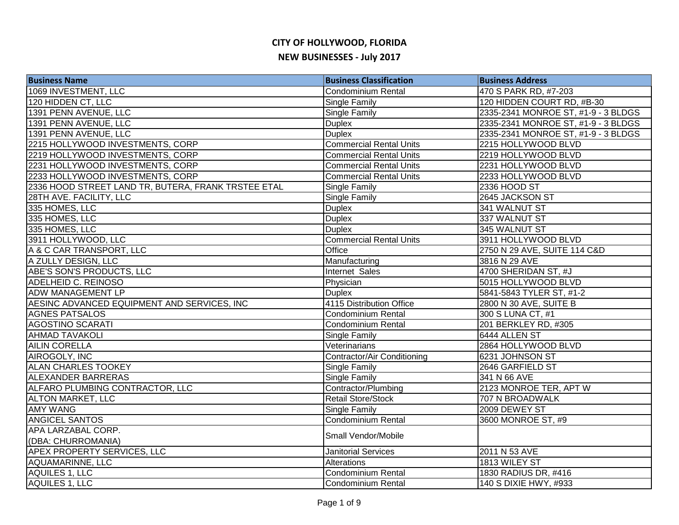| <b>Business Name</b>                                | <b>Business Classification</b> | <b>Business Address</b>             |
|-----------------------------------------------------|--------------------------------|-------------------------------------|
| 1069 INVESTMENT, LLC                                | <b>Condominium Rental</b>      | 470 S PARK RD, #7-203               |
| 120 HIDDEN CT, LLC                                  | <b>Single Family</b>           | 120 HIDDEN COURT RD, #B-30          |
| 1391 PENN AVENUE, LLC                               | Single Family                  | 2335-2341 MONROE ST, #1-9 - 3 BLDGS |
| 1391 PENN AVENUE, LLC                               | <b>Duplex</b>                  | 2335-2341 MONROE ST, #1-9 - 3 BLDGS |
| 1391 PENN AVENUE, LLC                               | <b>Duplex</b>                  | 2335-2341 MONROE ST, #1-9 - 3 BLDGS |
| 2215 HOLLYWOOD INVESTMENTS, CORP                    | <b>Commercial Rental Units</b> | 2215 HOLLYWOOD BLVD                 |
| 2219 HOLLYWOOD INVESTMENTS, CORP                    | <b>Commercial Rental Units</b> | 2219 HOLLYWOOD BLVD                 |
| 2231 HOLLYWOOD INVESTMENTS, CORP                    | <b>Commercial Rental Units</b> | 2231 HOLLYWOOD BLVD                 |
| 2233 HOLLYWOOD INVESTMENTS, CORP                    | <b>Commercial Rental Units</b> | 2233 HOLLYWOOD BLVD                 |
| 2336 HOOD STREET LAND TR, BUTERA, FRANK TRSTEE ETAL | Single Family                  | 2336 HOOD ST                        |
| 28TH AVE. FACILITY, LLC                             | Single Family                  | 2645 JACKSON ST                     |
| 335 HOMES, LLC                                      | <b>Duplex</b>                  | 341 WALNUT ST                       |
| 335 HOMES, LLC                                      | <b>Duplex</b>                  | 337 WALNUT ST                       |
| 335 HOMES, LLC                                      | <b>Duplex</b>                  | 345 WALNUT ST                       |
| 3911 HOLLYWOOD, LLC                                 | <b>Commercial Rental Units</b> | 3911 HOLLYWOOD BLVD                 |
| A & C CAR TRANSPORT, LLC                            | Office                         | 2750 N 29 AVE, SUITE 114 C&D        |
| A ZULLY DESIGN, LLC                                 | Manufacturing                  | 3816 N 29 AVE                       |
| ABE'S SON'S PRODUCTS, LLC                           | Internet Sales                 | 4700 SHERIDAN ST, #J                |
| <b>ADELHEID C. REINOSO</b>                          | Physician                      | 5015 HOLLYWOOD BLVD                 |
| <b>ADW MANAGEMENT LP</b>                            | <b>Duplex</b>                  | 5841-5843 TYLER ST, #1-2            |
| AESINC ADVANCED EQUIPMENT AND SERVICES, INC         | 4115 Distribution Office       | 2800 N 30 AVE, SUITE B              |
| <b>AGNES PATSALOS</b>                               | <b>Condominium Rental</b>      | 300 S LUNA CT, #1                   |
| <b>AGOSTINO SCARATI</b>                             | Condominium Rental             | 201 BERKLEY RD, #305                |
| <b>AHMAD TAVAKOLI</b>                               | Single Family                  | 6444 ALLEN ST                       |
| <b>AILIN CORELLA</b>                                | Veterinarians                  | 2864 HOLLYWOOD BLVD                 |
| AIROGOLY, INC                                       | Contractor/Air Conditioning    | 6231 JOHNSON ST                     |
| <b>ALAN CHARLES TOOKEY</b>                          | Single Family                  | 2646 GARFIELD ST                    |
| <b>ALEXANDER BARRERAS</b>                           | <b>Single Family</b>           | 341 N 66 AVE                        |
| ALFARO PLUMBING CONTRACTOR, LLC                     | Contractor/Plumbing            | 2123 MONROE TER, APT W              |
| <b>ALTON MARKET, LLC</b>                            | Retail Store/Stock             | 707 N BROADWALK                     |
| <b>AMY WANG</b>                                     | Single Family                  | 2009 DEWEY ST                       |
| <b>ANGICEL SANTOS</b>                               | <b>Condominium Rental</b>      | 3600 MONROE ST, #9                  |
| APA LARZABAL CORP.                                  | Small Vendor/Mobile            |                                     |
| (DBA: CHURROMANIA)                                  |                                |                                     |
| <b>APEX PROPERTY SERVICES, LLC</b>                  | <b>Janitorial Services</b>     | 2011 N 53 AVE                       |
| <b>AQUAMARINNE, LLC</b>                             | Alterations                    | 1813 WILEY ST                       |
| AQUILES 1, LLC                                      | Condominium Rental             | 1830 RADIUS DR, #416                |
| AQUILES 1, LLC                                      | Condominium Rental             | 140 S DIXIE HWY, #933               |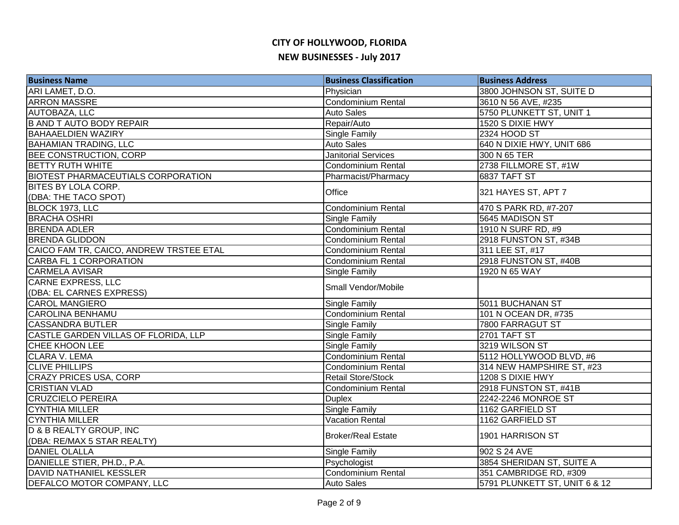| <b>Business Name</b>                      | <b>Business Classification</b> | <b>Business Address</b>       |
|-------------------------------------------|--------------------------------|-------------------------------|
| ARI LAMET, D.O.                           | Physician                      | 3800 JOHNSON ST, SUITE D      |
| <b>ARRON MASSRE</b>                       | <b>Condominium Rental</b>      | 3610 N 56 AVE, #235           |
| AUTOBAZA, LLC                             | <b>Auto Sales</b>              | 5750 PLUNKETT ST, UNIT 1      |
| <b>B AND T AUTO BODY REPAIR</b>           | Repair/Auto                    | 1520 S DIXIE HWY              |
| <b>BAHAAELDIEN WAZIRY</b>                 | Single Family                  | 2324 HOOD ST                  |
| <b>BAHAMIAN TRADING, LLC</b>              | <b>Auto Sales</b>              | 640 N DIXIE HWY, UNIT 686     |
| BEE CONSTRUCTION, CORP                    | <b>Janitorial Services</b>     | 300 N 65 TER                  |
| <b>BETTY RUTH WHITE</b>                   | <b>Condominium Rental</b>      | 2738 FILLMORE ST, #1W         |
| <b>BIOTEST PHARMACEUTIALS CORPORATION</b> | Pharmacist/Pharmacy            | 6837 TAFT ST                  |
| <b>BITES BY LOLA CORP.</b>                | Office                         | 321 HAYES ST, APT 7           |
| (DBA: THE TACO SPOT)                      |                                |                               |
| BLOCK 1973, LLC                           | <b>Condominium Rental</b>      | 470 S PARK RD, #7-207         |
| <b>BRACHA OSHRI</b>                       | Single Family                  | 5645 MADISON ST               |
| <b>BRENDA ADLER</b>                       | Condominium Rental             | 1910 N SURF RD, #9            |
| <b>BRENDA GLIDDON</b>                     | Condominium Rental             | 2918 FUNSTON ST, #34B         |
| CAICO FAM TR, CAICO, ANDREW TRSTEE ETAL   | Condominium Rental             | 311 LEE ST, #17               |
| <b>CARBA FL 1 CORPORATION</b>             | Condominium Rental             | 2918 FUNSTON ST, #40B         |
| <b>CARMELA AVISAR</b>                     | <b>Single Family</b>           | 1920 N 65 WAY                 |
| <b>CARNE EXPRESS, LLC</b>                 | Small Vendor/Mobile            |                               |
| (DBA: EL CARNES EXPRESS)                  |                                |                               |
| <b>CAROL MANGIERO</b>                     | <b>Single Family</b>           | 5011 BUCHANAN ST              |
| <b>CAROLINA BENHAMU</b>                   | <b>Condominium Rental</b>      | 101 N OCEAN DR, #735          |
| <b>CASSANDRA BUTLER</b>                   | <b>Single Family</b>           | <b>7800 FARRAGUT ST</b>       |
| CASTLE GARDEN VILLAS OF FLORIDA, LLP      | <b>Single Family</b>           | 2701 TAFT ST                  |
| <b>CHEE KHOON LEE</b>                     | <b>Single Family</b>           | 3219 WILSON ST                |
| <b>CLARA V. LEMA</b>                      | <b>Condominium Rental</b>      | 5112 HOLLYWOOD BLVD, #6       |
| <b>CLIVE PHILLIPS</b>                     | <b>Condominium Rental</b>      | 314 NEW HAMPSHIRE ST, #23     |
| <b>CRAZY PRICES USA, CORP</b>             | <b>Retail Store/Stock</b>      | 1208 S DIXIE HWY              |
| <b>CRISTIAN VLAD</b>                      | <b>Condominium Rental</b>      | 2918 FUNSTON ST, #41B         |
| <b>CRUZCIELO PEREIRA</b>                  | <b>Duplex</b>                  | 2242-2246 MONROE ST           |
| <b>CYNTHIA MILLER</b>                     | Single Family                  | 1162 GARFIELD ST              |
| <b>CYNTHIA MILLER</b>                     | <b>Vacation Rental</b>         | 1162 GARFIELD ST              |
| D & B REALTY GROUP, INC                   | <b>Broker/Real Estate</b>      | 1901 HARRISON ST              |
| (DBA: RE/MAX 5 STAR REALTY)               |                                |                               |
| <b>DANIEL OLALLA</b>                      | <b>Single Family</b>           | 902 S 24 AVE                  |
| DANIELLE STIER, PH.D., P.A.               | Psychologist                   | 3854 SHERIDAN ST, SUITE A     |
| DAVID NATHANIEL KESSLER                   | Condominium Rental             | 351 CAMBRIDGE RD, #309        |
| <b>DEFALCO MOTOR COMPANY, LLC</b>         | <b>Auto Sales</b>              | 5791 PLUNKETT ST, UNIT 6 & 12 |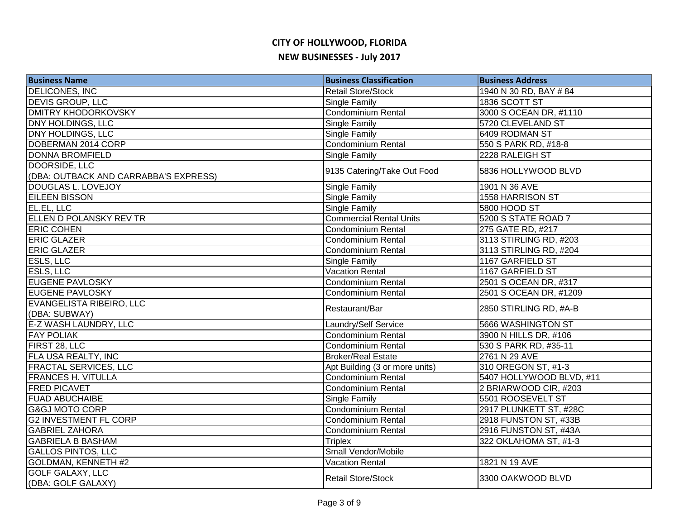| <b>Business Name</b>                  | <b>Business Classification</b> | <b>Business Address</b>  |
|---------------------------------------|--------------------------------|--------------------------|
| <b>DELICONES, INC</b>                 | Retail Store/Stock             | 1940 N 30 RD, BAY # 84   |
| <b>DEVIS GROUP, LLC</b>               | <b>Single Family</b>           | 1836 SCOTT ST            |
| <b>DMITRY KHODORKOVSKY</b>            | Condominium Rental             | 3000 S OCEAN DR, #1110   |
| <b>DNY HOLDINGS, LLC</b>              | Single Family                  | 5720 CLEVELAND ST        |
| <b>DNY HOLDINGS, LLC</b>              | <b>Single Family</b>           | 6409 RODMAN ST           |
| DOBERMAN 2014 CORP                    | Condominium Rental             | 550 S PARK RD, #18-8     |
| <b>DONNA BROMFIELD</b>                | <b>Single Family</b>           | 2228 RALEIGH ST          |
| DOORSIDE, LLC                         | 9135 Catering/Take Out Food    | 5836 HOLLYWOOD BLVD      |
| (DBA: OUTBACK AND CARRABBA'S EXPRESS) |                                |                          |
| DOUGLAS L. LOVEJOY                    | Single Family                  | 1901 N 36 AVE            |
| <b>EILEEN BISSON</b>                  | Single Family                  | 1558 HARRISON ST         |
| EL.EL, LLC                            | Single Family                  | 5800 HOOD ST             |
| ELLEN D POLANSKY REV TR               | <b>Commercial Rental Units</b> | 5200 S STATE ROAD 7      |
| <b>ERIC COHEN</b>                     | Condominium Rental             | 275 GATE RD, #217        |
| <b>ERIC GLAZER</b>                    | <b>Condominium Rental</b>      | 3113 STIRLING RD, #203   |
| <b>ERIC GLAZER</b>                    | Condominium Rental             | 3113 STIRLING RD, #204   |
| <b>ESLS, LLC</b>                      | Single Family                  | 1167 GARFIELD ST         |
| <b>ESLS, LLC</b>                      | <b>Vacation Rental</b>         | 1167 GARFIELD ST         |
| <b>EUGENE PAVLOSKY</b>                | <b>Condominium Rental</b>      | 2501 S OCEAN DR, #317    |
| <b>EUGENE PAVLOSKY</b>                | <b>Condominium Rental</b>      | 2501 S OCEAN DR, #1209   |
| EVANGELISTA RIBEIRO, LLC              | Restaurant/Bar                 | 2850 STIRLING RD, #A-B   |
| (DBA: SUBWAY)                         |                                |                          |
| <b>E-Z WASH LAUNDRY, LLC</b>          | Laundry/Self Service           | 5666 WASHINGTON ST       |
| <b>FAY POLIAK</b>                     | Condominium Rental             | 3900 N HILLS DR, #106    |
| FIRST 28, LLC                         | Condominium Rental             | 530 S PARK RD, #35-11    |
| <b>FLA USA REALTY, INC</b>            | <b>Broker/Real Estate</b>      | 2761 N 29 AVE            |
| <b>FRACTAL SERVICES, LLC</b>          | Apt Building (3 or more units) | 310 OREGON ST, #1-3      |
| <b>FRANCES H. VITULLA</b>             | Condominium Rental             | 5407 HOLLYWOOD BLVD, #11 |
| <b>FRED PICAVET</b>                   | Condominium Rental             | 2 BRIARWOOD CIR, #203    |
| <b>FUAD ABUCHAIBE</b>                 | Single Family                  | 5501 ROOSEVELT ST        |
| <b>G&amp;GJ MOTO CORP</b>             | Condominium Rental             | 2917 PLUNKETT ST, #28C   |
| <b>G2 INVESTMENT FL CORP</b>          | Condominium Rental             | 2918 FUNSTON ST, #33B    |
| <b>GABRIEL ZAHORA</b>                 | Condominium Rental             | 2916 FUNSTON ST, #43A    |
| <b>GABRIELA B BASHAM</b>              | <b>Triplex</b>                 | 322 OKLAHOMA ST, #1-3    |
| <b>GALLOS PINTOS, LLC</b>             | Small Vendor/Mobile            |                          |
| GOLDMAN, KENNETH #2                   | <b>Vacation Rental</b>         | 1821 N 19 AVE            |
| <b>GOLF GALAXY, LLC</b>               | <b>Retail Store/Stock</b>      | 3300 OAKWOOD BLVD        |
| (DBA: GOLF GALAXY)                    |                                |                          |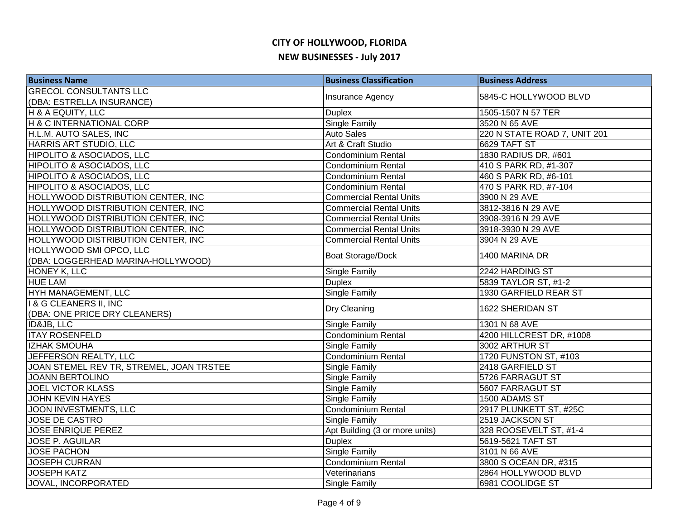| <b>Business Name</b>                     | <b>Business Classification</b> | <b>Business Address</b>      |
|------------------------------------------|--------------------------------|------------------------------|
| <b>GRECOL CONSULTANTS LLC</b>            | Insurance Agency               | 5845-C HOLLYWOOD BLVD        |
| (DBA: ESTRELLA INSURANCE)                |                                |                              |
| H & A EQUITY, LLC                        | <b>Duplex</b>                  | 1505-1507 N 57 TER           |
| H & C INTERNATIONAL CORP                 | <b>Single Family</b>           | 3520 N 65 AVE                |
| H.L.M. AUTO SALES, INC                   | <b>Auto Sales</b>              | 220 N STATE ROAD 7, UNIT 201 |
| HARRIS ART STUDIO, LLC                   | Art & Craft Studio             | <b>6629 TAFT ST</b>          |
| HIPOLITO & ASOCIADOS, LLC                | Condominium Rental             | 1830 RADIUS DR, #601         |
| HIPOLITO & ASOCIADOS, LLC                | Condominium Rental             | 410 S PARK RD, #1-307        |
| <b>HIPOLITO &amp; ASOCIADOS, LLC</b>     | Condominium Rental             | 460 S PARK RD, #6-101        |
| <b>HIPOLITO &amp; ASOCIADOS, LLC</b>     | Condominium Rental             | 470 S PARK RD, #7-104        |
| HOLLYWOOD DISTRIBUTION CENTER, INC       | <b>Commercial Rental Units</b> | 3900 N 29 AVE                |
| HOLLYWOOD DISTRIBUTION CENTER, INC       | <b>Commercial Rental Units</b> | 3812-3816 N 29 AVE           |
| HOLLYWOOD DISTRIBUTION CENTER, INC       | <b>Commercial Rental Units</b> | 3908-3916 N 29 AVE           |
| HOLLYWOOD DISTRIBUTION CENTER, INC       | <b>Commercial Rental Units</b> | 3918-3930 N 29 AVE           |
| HOLLYWOOD DISTRIBUTION CENTER, INC       | <b>Commercial Rental Units</b> | 3904 N 29 AVE                |
| HOLLYWOOD SMI OPCO, LLC                  |                                | 1400 MARINA DR               |
| (DBA: LOGGERHEAD MARINA-HOLLYWOOD)       | <b>Boat Storage/Dock</b>       |                              |
| <b>HONEY K, LLC</b>                      | Single Family                  | 2242 HARDING ST              |
| <b>HUE LAM</b>                           | <b>Duplex</b>                  | 5839 TAYLOR ST, #1-2         |
| HYH MANAGEMENT, LLC                      | <b>Single Family</b>           | 1930 GARFIELD REAR ST        |
| I & G CLEANERS II, INC                   | Dry Cleaning                   | 1622 SHERIDAN ST             |
| (DBA: ONE PRICE DRY CLEANERS)            |                                |                              |
| <b>ID&amp;JB, LLC</b>                    | <b>Single Family</b>           | 1301 N 68 AVE                |
| <b>ITAY ROSENFELD</b>                    | <b>Condominium Rental</b>      | 4200 HILLCREST DR, #1008     |
| <b>IZHAK SMOUHA</b>                      | <b>Single Family</b>           | 3002 ARTHUR ST               |
| JEFFERSON REALTY, LLC                    | Condominium Rental             | 1720 FUNSTON ST, #103        |
| JOAN STEMEL REV TR, STREMEL, JOAN TRSTEE | <b>Single Family</b>           | 2418 GARFIELD ST             |
| <b>JOANN BERTOLINO</b>                   | <b>Single Family</b>           | 5726 FARRAGUT ST             |
| <b>JOEL VICTOR KLASS</b>                 | Single Family                  | 5607 FARRAGUT ST             |
| <b>JOHN KEVIN HAYES</b>                  | Single Family                  | 1500 ADAMS ST                |
| JOON INVESTMENTS, LLC                    | Condominium Rental             | 2917 PLUNKETT ST, #25C       |
| <b>JOSE DE CASTRO</b>                    | Single Family                  | 2519 JACKSON ST              |
| <b>JOSE ENRIQUE PEREZ</b>                | Apt Building (3 or more units) | 328 ROOSEVELT ST, #1-4       |
| <b>JOSE P. AGUILAR</b>                   | <b>Duplex</b>                  | 5619-5621 TAFT ST            |
| <b>JOSE PACHON</b>                       | <b>Single Family</b>           | 3101 N 66 AVE                |
| <b>JOSEPH CURRAN</b>                     | Condominium Rental             | 3800 S OCEAN DR, #315        |
| <b>JOSEPH KATZ</b>                       | Veterinarians                  | 2864 HOLLYWOOD BLVD          |
| JOVAL, INCORPORATED                      | <b>Single Family</b>           | 6981 COOLIDGE ST             |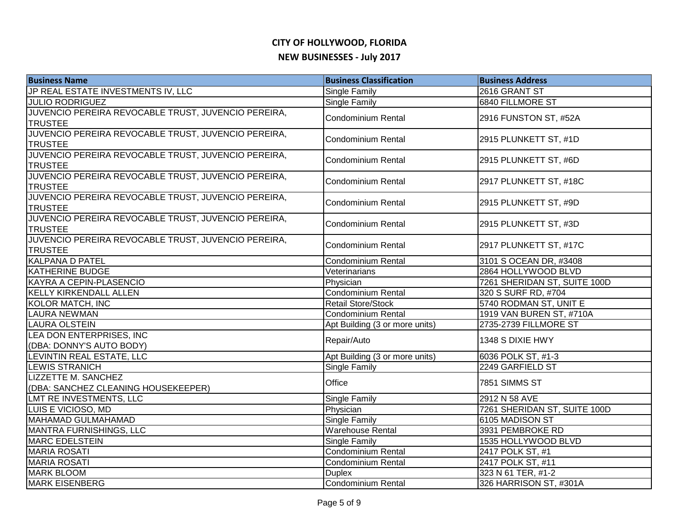| <b>Business Name</b>                                | <b>Business Classification</b> | <b>Business Address</b>      |
|-----------------------------------------------------|--------------------------------|------------------------------|
| JP REAL ESTATE INVESTMENTS IV, LLC                  | <b>Single Family</b>           | 2616 GRANT ST                |
| <b>JULIO RODRIGUEZ</b>                              | <b>Single Family</b>           | <b>6840 FILLMORE ST</b>      |
| JUVENCIO PEREIRA REVOCABLE TRUST, JUVENCIO PEREIRA, | Condominium Rental             | 2916 FUNSTON ST, #52A        |
| <b>TRUSTEE</b>                                      |                                |                              |
| JUVENCIO PEREIRA REVOCABLE TRUST, JUVENCIO PEREIRA, | <b>Condominium Rental</b>      | 2915 PLUNKETT ST, #1D        |
| <b>TRUSTEE</b>                                      |                                |                              |
| JUVENCIO PEREIRA REVOCABLE TRUST, JUVENCIO PEREIRA, | Condominium Rental             | 2915 PLUNKETT ST, #6D        |
| <b>TRUSTEE</b>                                      |                                |                              |
| JUVENCIO PEREIRA REVOCABLE TRUST, JUVENCIO PEREIRA, | Condominium Rental             | 2917 PLUNKETT ST, #18C       |
| <b>TRUSTEE</b>                                      |                                |                              |
| JUVENCIO PEREIRA REVOCABLE TRUST, JUVENCIO PEREIRA, | <b>Condominium Rental</b>      | 2915 PLUNKETT ST, #9D        |
| <b>TRUSTEE</b>                                      |                                |                              |
| JUVENCIO PEREIRA REVOCABLE TRUST, JUVENCIO PEREIRA, | Condominium Rental             | 2915 PLUNKETT ST, #3D        |
| <b>TRUSTEE</b>                                      |                                |                              |
| JUVENCIO PEREIRA REVOCABLE TRUST, JUVENCIO PEREIRA, | <b>Condominium Rental</b>      | 2917 PLUNKETT ST, #17C       |
| <b>TRUSTEE</b>                                      |                                |                              |
| <b>KALPANA D PATEL</b>                              | Condominium Rental             | 3101 S OCEAN DR, #3408       |
| <b>KATHERINE BUDGE</b>                              | Veterinarians                  | 2864 HOLLYWOOD BLVD          |
| KAYRA A CEPIN-PLASENCIO                             | Physician                      | 7261 SHERIDAN ST, SUITE 100D |
| <b>KELLY KIRKENDALL ALLEN</b>                       | Condominium Rental             | 320 S SURF RD, #704          |
| <b>KOLOR MATCH, INC</b>                             | <b>Retail Store/Stock</b>      | 5740 RODMAN ST, UNIT E       |
| <b>LAURA NEWMAN</b>                                 | Condominium Rental             | 1919 VAN BUREN ST, #710A     |
| <b>LAURA OLSTEIN</b>                                | Apt Building (3 or more units) | 2735-2739 FILLMORE ST        |
| LEA DON ENTERPRISES, INC                            | Repair/Auto                    | 1348 S DIXIE HWY             |
| (DBA: DONNY'S AUTO BODY)                            |                                |                              |
| LEVINTIN REAL ESTATE, LLC                           | Apt Building (3 or more units) | 6036 POLK ST, #1-3           |
| <b>LEWIS STRANICH</b>                               | <b>Single Family</b>           | 2249 GARFIELD ST             |
| <b>LIZZETTE M. SANCHEZ</b>                          | Office                         | 7851 SIMMS ST                |
| (DBA: SANCHEZ CLEANING HOUSEKEEPER)                 |                                |                              |
| LMT RE INVESTMENTS, LLC                             | <b>Single Family</b>           | 2912 N 58 AVE                |
| LUIS E VICIOSO, MD                                  | Physician                      | 7261 SHERIDAN ST, SUITE 100D |
| <b>MAHAMAD GULMAHAMAD</b>                           | <b>Single Family</b>           | 6105 MADISON ST              |
| MANTRA FURNISHINGS, LLC                             | <b>Warehouse Rental</b>        | 3931 PEMBROKE RD             |
| <b>MARC EDELSTEIN</b>                               | <b>Single Family</b>           | 1535 HOLLYWOOD BLVD          |
| <b>MARIA ROSATI</b>                                 | <b>Condominium Rental</b>      | 2417 POLK ST, #1             |
| <b>MARIA ROSATI</b>                                 | <b>Condominium Rental</b>      | 2417 POLK ST, #11            |
| <b>MARK BLOOM</b>                                   | <b>Duplex</b>                  | 323 N 61 TER, #1-2           |
| <b>MARK EISENBERG</b>                               | Condominium Rental             | 326 HARRISON ST, #301A       |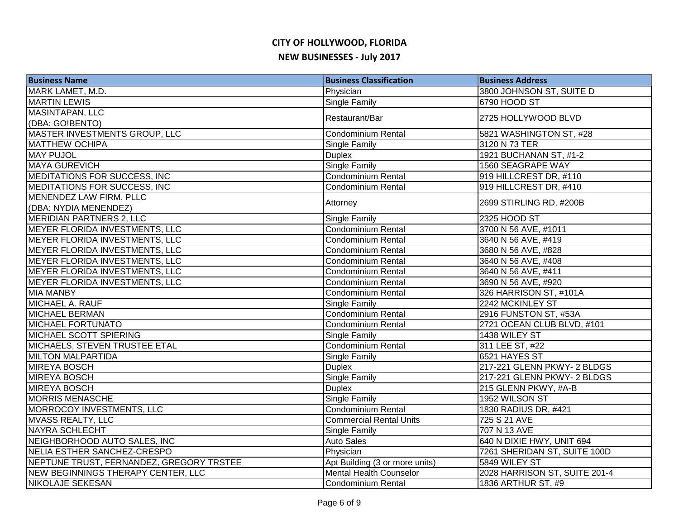| <b>Business Name</b>                             | <b>Business Classification</b> | <b>Business Address</b>       |
|--------------------------------------------------|--------------------------------|-------------------------------|
| MARK LAMET, M.D.                                 | Physician                      | 3800 JOHNSON ST, SUITE D      |
| <b>MARTIN LEWIS</b>                              | <b>Single Family</b>           | 6790 HOOD ST                  |
| <b>MASINTAPAN, LLC</b>                           | Restaurant/Bar                 | 2725 HOLLYWOOD BLVD           |
| (DBA: GO!BENTO)                                  |                                |                               |
| MASTER INVESTMENTS GROUP, LLC                    | <b>Condominium Rental</b>      | 5821 WASHINGTON ST, #28       |
| <b>MATTHEW OCHIPA</b>                            | Single Family                  | 3120 N 73 TER                 |
| <b>MAY PUJOL</b>                                 | <b>Duplex</b>                  | 1921 BUCHANAN ST, #1-2        |
| <b>MAYA GUREVICH</b>                             | <b>Single Family</b>           | 1560 SEAGRAPE WAY             |
| MEDITATIONS FOR SUCCESS, INC                     | Condominium Rental             | 919 HILLCREST DR, #110        |
| MEDITATIONS FOR SUCCESS, INC                     | <b>Condominium Rental</b>      | 919 HILLCREST DR, #410        |
| MENENDEZ LAW FIRM, PLLC<br>(DBA: NYDIA MENENDEZ) | Attorney                       | 2699 STIRLING RD, #200B       |
| <b>MERIDIAN PARTNERS 2, LLC</b>                  | <b>Single Family</b>           | 2325 HOOD ST                  |
| MEYER FLORIDA INVESTMENTS, LLC                   | Condominium Rental             | 3700 N 56 AVE, #1011          |
| MEYER FLORIDA INVESTMENTS, LLC                   | <b>Condominium Rental</b>      | 3640 N 56 AVE, #419           |
| MEYER FLORIDA INVESTMENTS, LLC                   | Condominium Rental             | 3680 N 56 AVE, #828           |
| MEYER FLORIDA INVESTMENTS, LLC                   | Condominium Rental             | 3640 N 56 AVE, #408           |
| MEYER FLORIDA INVESTMENTS, LLC                   | <b>Condominium Rental</b>      | 3640 N 56 AVE, #411           |
| MEYER FLORIDA INVESTMENTS, LLC                   | <b>Condominium Rental</b>      | 3690 N 56 AVE, #920           |
| <b>MIA MANBY</b>                                 | Condominium Rental             | 326 HARRISON ST, #101A        |
| <b>MICHAEL A. RAUF</b>                           | Single Family                  | 2242 MCKINLEY ST              |
| <b>MICHAEL BERMAN</b>                            | <b>Condominium Rental</b>      | 2916 FUNSTON ST, #53A         |
| <b>MICHAEL FORTUNATO</b>                         | <b>Condominium Rental</b>      | 2721 OCEAN CLUB BLVD, #101    |
| MICHAEL SCOTT SPIERING                           | Single Family                  | 1438 WILEY ST                 |
| <b>MICHAELS, STEVEN TRUSTEE ETAL</b>             | <b>Condominium Rental</b>      | 311 LEE ST, #22               |
| <b>MILTON MALPARTIDA</b>                         | <b>Single Family</b>           | 6521 HAYES ST                 |
| <b>MIREYA BOSCH</b>                              | <b>Duplex</b>                  | 217-221 GLENN PKWY- 2 BLDGS   |
| <b>MIREYA BOSCH</b>                              | <b>Single Family</b>           | 217-221 GLENN PKWY- 2 BLDGS   |
| <b>MIREYA BOSCH</b>                              | <b>Duplex</b>                  | 215 GLENN PKWY, #A-B          |
| <b>MORRIS MENASCHE</b>                           | Single Family                  | 1952 WILSON ST                |
| MORROCOY INVESTMENTS, LLC                        | <b>Condominium Rental</b>      | 1830 RADIUS DR, #421          |
| <b>MVASS REALTY, LLC</b>                         | <b>Commercial Rental Units</b> | 725 S 21 AVE                  |
| <b>NAYRA SCHLECHT</b>                            | Single Family                  | 707 N 13 AVE                  |
| NEIGHBORHOOD AUTO SALES, INC                     | <b>Auto Sales</b>              | 640 N DIXIE HWY, UNIT 694     |
| NELIA ESTHER SANCHEZ-CRESPO                      | Physician                      | 7261 SHERIDAN ST, SUITE 100D  |
| NEPTUNE TRUST, FERNANDEZ, GREGORY TRSTEE         | Apt Building (3 or more units) | 5849 WILEY ST                 |
| NEW BEGINNINGS THERAPY CENTER, LLC               | <b>Mental Health Counselor</b> | 2028 HARRISON ST, SUITE 201-4 |
| NIKOLAJE SEKESAN                                 | Condominium Rental             | 1836 ARTHUR ST, #9            |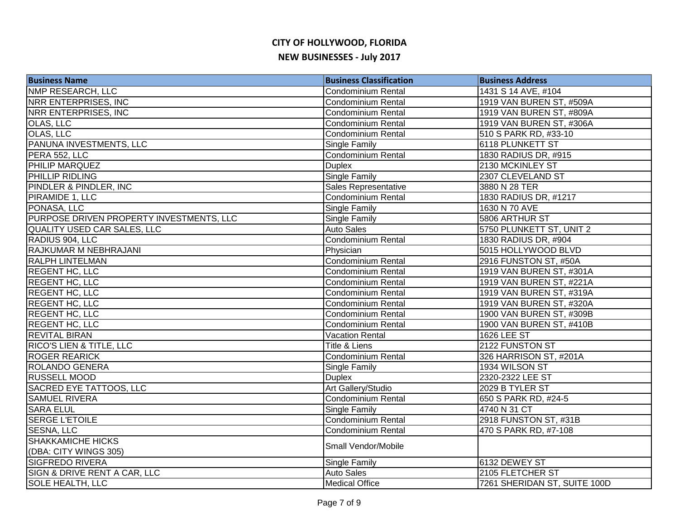| <b>Business Name</b>                     | <b>Business Classification</b> | <b>Business Address</b>      |
|------------------------------------------|--------------------------------|------------------------------|
| <b>NMP RESEARCH, LLC</b>                 | <b>Condominium Rental</b>      | 1431 S 14 AVE, #104          |
| <b>NRR ENTERPRISES, INC.</b>             | Condominium Rental             | 1919 VAN BUREN ST, #509A     |
| NRR ENTERPRISES, INC                     | <b>Condominium Rental</b>      | 1919 VAN BUREN ST, #809A     |
| OLAS, LLC                                | <b>Condominium Rental</b>      | 1919 VAN BUREN ST, #306A     |
| OLAS, LLC                                | Condominium Rental             | 510 S PARK RD, #33-10        |
| PANUNA INVESTMENTS, LLC                  | <b>Single Family</b>           | 6118 PLUNKETT ST             |
| PERA 552, LLC                            | <b>Condominium Rental</b>      | 1830 RADIUS DR, #915         |
| PHILIP MARQUEZ                           | <b>Duplex</b>                  | 2130 MCKINLEY ST             |
| PHILLIP RIDLING                          | Single Family                  | 2307 CLEVELAND ST            |
| PINDLER & PINDLER, INC                   | Sales Representative           | 3880 N 28 TER                |
| PIRAMIDE 1, LLC                          | <b>Condominium Rental</b>      | 1830 RADIUS DR, #1217        |
| PONASA, LLC                              | Single Family                  | 1630 N 70 AVE                |
| PURPOSE DRIVEN PROPERTY INVESTMENTS, LLC | Single Family                  | 5806 ARTHUR ST               |
| <b>QUALITY USED CAR SALES, LLC</b>       | <b>Auto Sales</b>              | 5750 PLUNKETT ST, UNIT 2     |
| RADIUS 904, LLC                          | Condominium Rental             | 1830 RADIUS DR, #904         |
| RAJKUMAR M NEBHRAJANI                    | Physician                      | 5015 HOLLYWOOD BLVD          |
| <b>RALPH LINTELMAN</b>                   | Condominium Rental             | 2916 FUNSTON ST, #50A        |
| <b>REGENT HC, LLC</b>                    | <b>Condominium Rental</b>      | 1919 VAN BUREN ST, #301A     |
| <b>REGENT HC, LLC</b>                    | <b>Condominium Rental</b>      | 1919 VAN BUREN ST, #221A     |
| <b>REGENT HC, LLC</b>                    | <b>Condominium Rental</b>      | 1919 VAN BUREN ST, #319A     |
| <b>REGENT HC, LLC</b>                    | <b>Condominium Rental</b>      | 1919 VAN BUREN ST, #320A     |
| <b>REGENT HC, LLC</b>                    | <b>Condominium Rental</b>      | 1900 VAN BUREN ST, #309B     |
| <b>REGENT HC, LLC</b>                    | <b>Condominium Rental</b>      | 1900 VAN BUREN ST, #410B     |
| <b>REVITAL BIRAN</b>                     | <b>Vacation Rental</b>         | <b>1626 LEE ST</b>           |
| RICO'S LIEN & TITLE, LLC                 | Title & Liens                  | 2122 FUNSTON ST              |
| <b>ROGER REARICK</b>                     | Condominium Rental             | 326 HARRISON ST, #201A       |
| ROLANDO GENERA                           | <b>Single Family</b>           | 1934 WILSON ST               |
| <b>RUSSELL MOOD</b>                      | <b>Duplex</b>                  | 2320-2322 LEE ST             |
| <b>SACRED EYE TATTOOS, LLC</b>           | Art Gallery/Studio             | 2029 B TYLER ST              |
| <b>SAMUEL RIVERA</b>                     | <b>Condominium Rental</b>      | 650 S PARK RD, #24-5         |
| <b>SARA ELUL</b>                         | Single Family                  | 4740 N 31 CT                 |
| <b>SERGE L'ETOILE</b>                    | <b>Condominium Rental</b>      | 2918 FUNSTON ST, #31B        |
| <b>SESNA, LLC</b>                        | <b>Condominium Rental</b>      | 470 S PARK RD, #7-108        |
| <b>SHAKKAMICHE HICKS</b>                 | Small Vendor/Mobile            |                              |
| (DBA: CITY WINGS 305)                    |                                |                              |
| <b>SIGFREDO RIVERA</b>                   | Single Family                  | 6132 DEWEY ST                |
| SIGN & DRIVE RENT A CAR, LLC             | <b>Auto Sales</b>              | 2105 FLETCHER ST             |
| <b>SOLE HEALTH, LLC</b>                  | <b>Medical Office</b>          | 7261 SHERIDAN ST, SUITE 100D |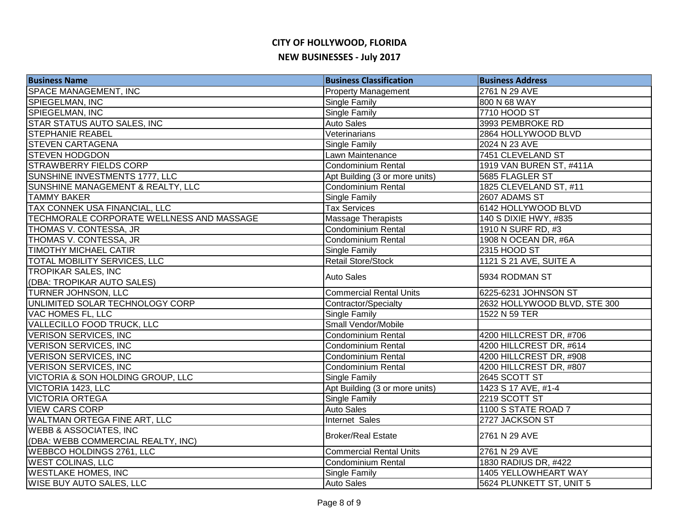| <b>Business Name</b>                      | <b>Business Classification</b> | <b>Business Address</b>      |
|-------------------------------------------|--------------------------------|------------------------------|
| <b>SPACE MANAGEMENT, INC</b>              | <b>Property Management</b>     | 2761 N 29 AVE                |
| SPIEGELMAN, INC                           | Single Family                  | 800 N 68 WAY                 |
| SPIEGELMAN, INC                           | Single Family                  | 7710 HOOD ST                 |
| STAR STATUS AUTO SALES, INC               | <b>Auto Sales</b>              | 3993 PEMBROKE RD             |
| <b>STEPHANIE REABEL</b>                   | Veterinarians                  | 2864 HOLLYWOOD BLVD          |
| <b>STEVEN CARTAGENA</b>                   | <b>Single Family</b>           | 2024 N 23 AVE                |
| <b>STEVEN HODGDON</b>                     | Lawn Maintenance               | 7451 CLEVELAND ST            |
| <b>STRAWBERRY FIELDS CORP</b>             | Condominium Rental             | 1919 VAN BUREN ST, #411A     |
| SUNSHINE INVESTMENTS 1777, LLC            | Apt Building (3 or more units) | 5685 FLAGLER ST              |
| SUNSHINE MANAGEMENT & REALTY, LLC         | Condominium Rental             | 1825 CLEVELAND ST, #11       |
| <b>TAMMY BAKER</b>                        | Single Family                  | 2607 ADAMS ST                |
| TAX CONNEK USA FINANCIAL, LLC             | <b>Tax Services</b>            | 6142 HOLLYWOOD BLVD          |
| TECHMORALE CORPORATE WELLNESS AND MASSAGE | <b>Massage Therapists</b>      | 140 S DIXIE HWY, #835        |
| THOMAS V. CONTESSA, JR                    | Condominium Rental             | 1910 N SURF RD, #3           |
| THOMAS V. CONTESSA, JR                    | Condominium Rental             | 1908 N OCEAN DR, #6A         |
| <b>TIMOTHY MICHAEL CATIR</b>              | <b>Single Family</b>           | 2315 HOOD ST                 |
| TOTAL MOBILITY SERVICES, LLC              | <b>Retail Store/Stock</b>      | 1121 S 21 AVE, SUITE A       |
| <b>TROPIKAR SALES, INC</b>                | <b>Auto Sales</b>              | 5934 RODMAN ST               |
| (DBA: TROPIKAR AUTO SALES)                |                                |                              |
| TURNER JOHNSON, LLC                       | <b>Commercial Rental Units</b> | 6225-6231 JOHNSON ST         |
| UNLIMITED SOLAR TECHNOLOGY CORP           | Contractor/Specialty           | 2632 HOLLYWOOD BLVD, STE 300 |
| VAC HOMES FL, LLC                         | Single Family                  | 1522 N 59 TER                |
| <b>VALLECILLO FOOD TRUCK, LLC</b>         | Small Vendor/Mobile            |                              |
| <b>VERISON SERVICES, INC</b>              | Condominium Rental             | 4200 HILLCREST DR, #706      |
| <b>VERISON SERVICES, INC.</b>             | Condominium Rental             | 4200 HILLCREST DR, #614      |
| <b>VERISON SERVICES, INC.</b>             | Condominium Rental             | 4200 HILLCREST DR, #908      |
| <b>VERISON SERVICES, INC.</b>             | Condominium Rental             | 4200 HILLCREST DR, #807      |
| VICTORIA & SON HOLDING GROUP, LLC         | <b>Single Family</b>           | 2645 SCOTT ST                |
| VICTORIA 1423, LLC                        | Apt Building (3 or more units) | 1423 S 17 AVE, #1-4          |
| <b>VICTORIA ORTEGA</b>                    | Single Family                  | 2219 SCOTT ST                |
| <b>VIEW CARS CORP</b>                     | <b>Auto Sales</b>              | 1100 S STATE ROAD 7          |
| WALTMAN ORTEGA FINE ART, LLC              | Internet Sales                 | 2727 JACKSON ST              |
| <b>WEBB &amp; ASSOCIATES, INC</b>         | <b>Broker/Real Estate</b>      | 2761 N 29 AVE                |
| (DBA: WEBB COMMERCIAL REALTY, INC)        |                                |                              |
| WEBBCO HOLDINGS 2761, LLC                 | <b>Commercial Rental Units</b> | 2761 N 29 AVE                |
| <b>WEST COLINAS, LLC</b>                  | <b>Condominium Rental</b>      | 1830 RADIUS DR, #422         |
| <b>WESTLAKE HOMES, INC</b>                | <b>Single Family</b>           | 1405 YELLOWHEART WAY         |
| <b>WISE BUY AUTO SALES, LLC</b>           | <b>Auto Sales</b>              | 5624 PLUNKETT ST, UNIT 5     |